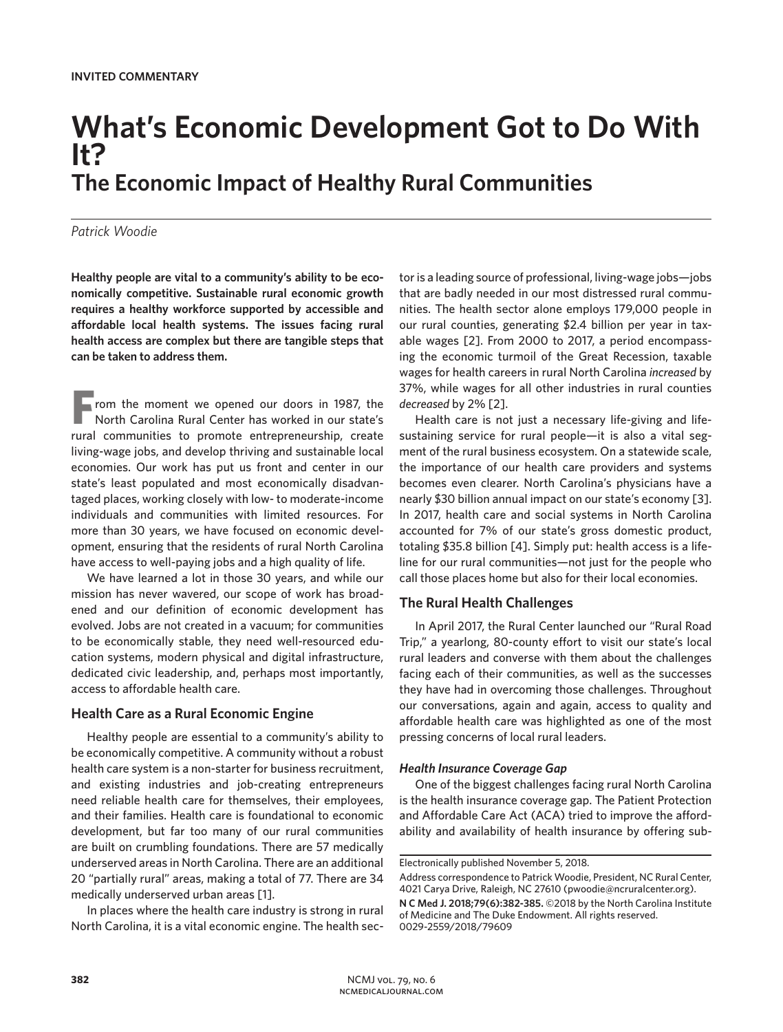# **What's Economic Development Got to Do With It? The Economic Impact of Healthy Rural Communities**

## *Patrick Woodie*

**Healthy people are vital to a community's ability to be economically competitive. Sustainable rural economic growth requires a healthy workforce supported by accessible and affordable local health systems. The issues facing rural health access are complex but there are tangible steps that can be taken to address them.**

**F**rom the moment we opened our doors in 1987, the North Carolina Rural Center has worked in our state's rural communities to promote entrepreneurship, create living-wage jobs, and develop thriving and sustainable local economies. Our work has put us front and center in our state's least populated and most economically disadvantaged places, working closely with low- to moderate-income individuals and communities with limited resources. For more than 30 years, we have focused on economic development, ensuring that the residents of rural North Carolina have access to well-paying jobs and a high quality of life.

We have learned a lot in those 30 years, and while our mission has never wavered, our scope of work has broadened and our definition of economic development has evolved. Jobs are not created in a vacuum; for communities to be economically stable, they need well-resourced education systems, modern physical and digital infrastructure, dedicated civic leadership, and, perhaps most importantly, access to affordable health care.

## **Health Care as a Rural Economic Engine**

Healthy people are essential to a community's ability to be economically competitive. A community without a robust health care system is a non-starter for business recruitment, and existing industries and job-creating entrepreneurs need reliable health care for themselves, their employees, and their families. Health care is foundational to economic development, but far too many of our rural communities are built on crumbling foundations. There are 57 medically underserved areas in North Carolina. There are an additional 20 "partially rural" areas, making a total of 77. There are 34 medically underserved urban areas [1].

In places where the health care industry is strong in rural North Carolina, it is a vital economic engine. The health sec-

tor is a leading source of professional, living-wage jobs—jobs that are badly needed in our most distressed rural communities. The health sector alone employs 179,000 people in our rural counties, generating \$2.4 billion per year in taxable wages [2]. From 2000 to 2017, a period encompassing the economic turmoil of the Great Recession, taxable wages for health careers in rural North Carolina *increased* by 37%, while wages for all other industries in rural counties *decreased* by 2% [2].

Health care is not just a necessary life-giving and lifesustaining service for rural people—it is also a vital segment of the rural business ecosystem. On a statewide scale, the importance of our health care providers and systems becomes even clearer. North Carolina's physicians have a nearly \$30 billion annual impact on our state's economy [3]. In 2017, health care and social systems in North Carolina accounted for 7% of our state's gross domestic product, totaling \$35.8 billion [4]. Simply put: health access is a lifeline for our rural communities—not just for the people who call those places home but also for their local economies.

# **The Rural Health Challenges**

In April 2017, the Rural Center launched our "Rural Road Trip," a yearlong, 80-county effort to visit our state's local rural leaders and converse with them about the challenges facing each of their communities, as well as the successes they have had in overcoming those challenges. Throughout our conversations, again and again, access to quality and affordable health care was highlighted as one of the most pressing concerns of local rural leaders.

#### *Health Insurance Coverage Gap*

One of the biggest challenges facing rural North Carolina is the health insurance coverage gap. The Patient Protection and Affordable Care Act (ACA) tried to improve the affordability and availability of health insurance by offering sub-

Electronically published November 5, 2018.

Address correspondence to Patrick Woodie, President, NC Rural Center, 4021 Carya Drive, Raleigh, NC 27610 (pwoodie@ncruralcenter.org). **N C Med J. 2018;79(6):382-385.** ©2018 by the North Carolina Institute

of Medicine and The Duke Endowment. All rights reserved. 0029-2559/2018/79609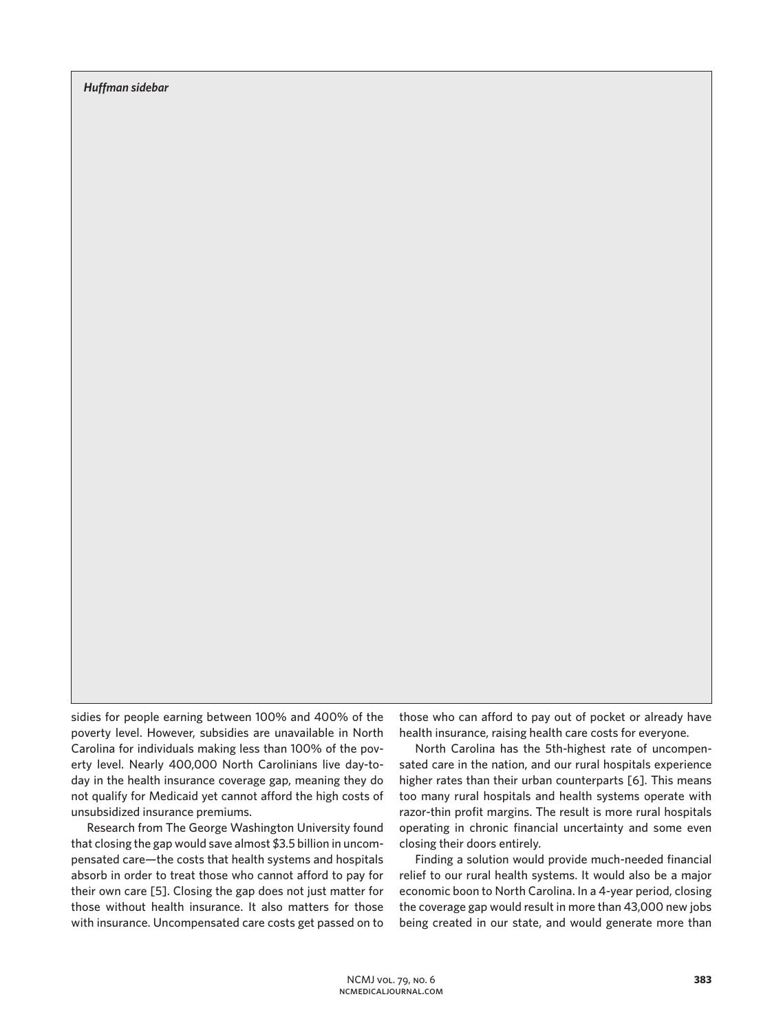*Huffman sidebar*

sidies for people earning between 100% and 400% of the poverty level. However, subsidies are unavailable in North Carolina for individuals making less than 100% of the poverty level. Nearly 400,000 North Carolinians live day-today in the health insurance coverage gap, meaning they do not qualify for Medicaid yet cannot afford the high costs of unsubsidized insurance premiums.

Research from The George Washington University found that closing the gap would save almost \$3.5 billion in uncompensated care—the costs that health systems and hospitals absorb in order to treat those who cannot afford to pay for their own care [5]. Closing the gap does not just matter for those without health insurance. It also matters for those with insurance. Uncompensated care costs get passed on to

those who can afford to pay out of pocket or already have health insurance, raising health care costs for everyone.

North Carolina has the 5th-highest rate of uncompensated care in the nation, and our rural hospitals experience higher rates than their urban counterparts [6]. This means too many rural hospitals and health systems operate with razor-thin profit margins. The result is more rural hospitals operating in chronic financial uncertainty and some even closing their doors entirely.

Finding a solution would provide much-needed financial relief to our rural health systems. It would also be a major economic boon to North Carolina. In a 4-year period, closing the coverage gap would result in more than 43,000 new jobs being created in our state, and would generate more than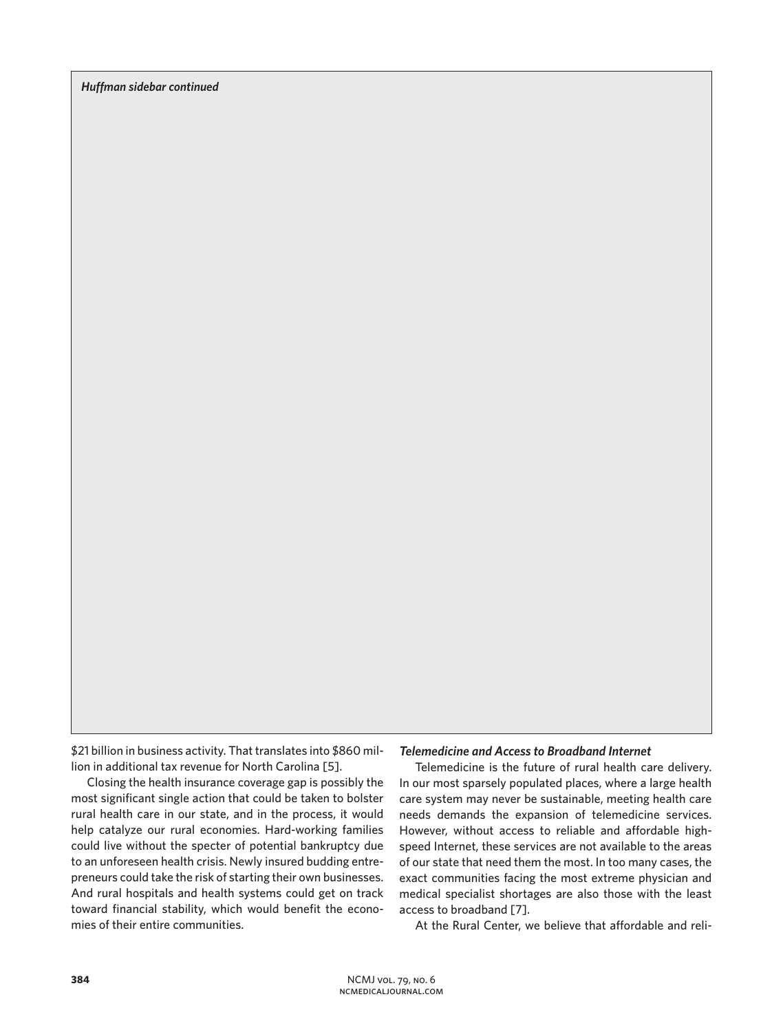*Huffman sidebar continued*

\$21 billion in business activity. That translates into \$860 million in additional tax revenue for North Carolina [5].

Closing the health insurance coverage gap is possibly the most significant single action that could be taken to bolster rural health care in our state, and in the process, it would help catalyze our rural economies. Hard-working families could live without the specter of potential bankruptcy due to an unforeseen health crisis. Newly insured budding entrepreneurs could take the risk of starting their own businesses. And rural hospitals and health systems could get on track toward financial stability, which would benefit the economies of their entire communities.

### *Telemedicine and Access to Broadband Internet*

Telemedicine is the future of rural health care delivery. In our most sparsely populated places, where a large health care system may never be sustainable, meeting health care needs demands the expansion of telemedicine services. However, without access to reliable and affordable highspeed Internet, these services are not available to the areas of our state that need them the most. In too many cases, the exact communities facing the most extreme physician and medical specialist shortages are also those with the least access to broadband [7].

At the Rural Center, we believe that affordable and reli-